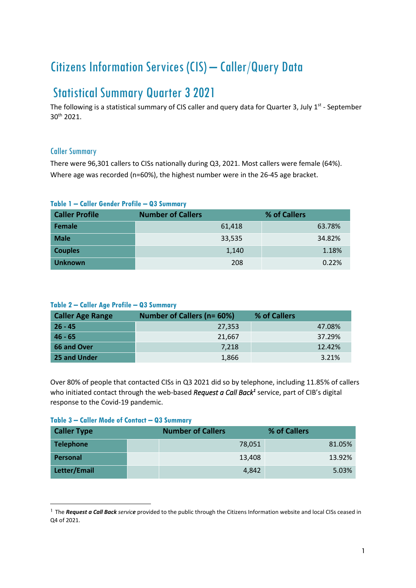# Citizens Information Services (CIS) – Caller/Query Data

## Statistical Summary Quarter 3 2021

The following is a statistical summary of CIS caller and query data for Quarter 3, July  $1<sup>st</sup>$  - September 30th 2021.

## Caller Summary

There were 96,301 callers to CISs nationally during Q3, 2021. Most callers were female (64%). Where age was recorded (n=60%), the highest number were in the 26-45 age bracket.

| <b>Caller Profile</b> | <b>Number of Callers</b> | % of Callers |
|-----------------------|--------------------------|--------------|
| Female                | 61,418                   | 63.78%       |
| <b>Male</b>           | 33,535                   | 34.82%       |
| <b>Couples</b>        | 1,140                    | 1.18%        |
| <b>Unknown</b>        | 208                      | 0.22%        |

#### **Table 1 – Caller Gender Profile – Q3 Summary**

### **Table 2 – Caller Age Profile – Q3 Summary**

| <b>Caller Age Range</b> | <b>Number of Callers (n= 60%)</b> | % of Callers |
|-------------------------|-----------------------------------|--------------|
| $26 - 45$               | 27,353                            | 47.08%       |
| $46 - 65$               | 21.667                            | 37.29%       |
| 66 and Over             | 7.218                             | 12.42%       |
| 25 and Under            | 1,866                             | 3.21%        |

Over 80% of people that contacted CISs in Q3 2021 did so by telephone, including 11.85% of callers who initiated contact through the web-based *Request a Call Back<sup>1</sup>* service, part of CIB's digital response to the Covid-19 pandemic.

#### **Table 3 – Caller Mode of Contact – Q3 Summary**

| <b>Caller Type</b> | <b>Number of Callers</b> |        | % of Callers |
|--------------------|--------------------------|--------|--------------|
| <b>Telephone</b>   |                          | 78,051 | 81.05%       |
| Personal           |                          | 13,408 | 13.92%       |
| Letter/Email       |                          | 4,842  | 5.03%        |

<sup>&</sup>lt;sup>1</sup> The *Request a Call Back service* provided to the public through the Citizens Information website and local CISs ceased in Q4 of 2021.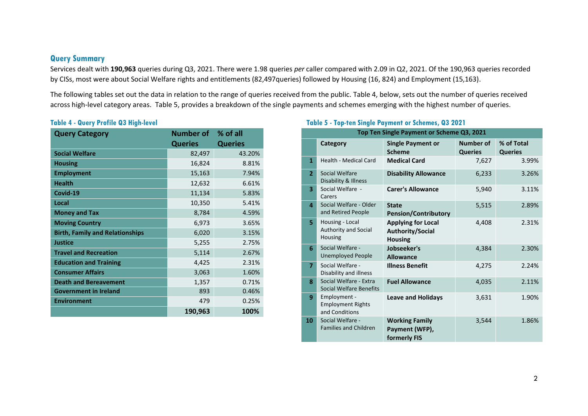## **Query Summary**

Services dealt with **190,963** queries during Q3, 2021. There were 1.98 queries *per* caller compared with 2.09 in Q2, 2021. Of the 190,963 queries recorded by CISs, most were about Social Welfare rights and entitlements (82,497queries) followed by Housing (16, 824) and Employment (15,163).

The following tables set out the data in relation to the range of queries received from the public. Table 4, below, sets out the number of queries received across high-level category areas. Table 5, provides a breakdown of the single payments and schemes emerging with the highest number of queries.

## **Table 4 - Query Profile Q3 High-level**

| <b>Query Category</b>                  | <b>Number of</b> | % of all       |
|----------------------------------------|------------------|----------------|
|                                        | <b>Queries</b>   | <b>Queries</b> |
| <b>Social Welfare</b>                  | 82,497           | 43.20%         |
| <b>Housing</b>                         | 16,824           | 8.81%          |
| <b>Employment</b>                      | 15,163           | 7.94%          |
| <b>Health</b>                          | 12,632           | 6.61%          |
| Covid-19                               | 11,134           | 5.83%          |
| Local                                  | 10,350           | 5.41%          |
| <b>Money and Tax</b>                   | 8,784            | 4.59%          |
| <b>Moving Country</b>                  | 6,973            | 3.65%          |
| <b>Birth, Family and Relationships</b> | 6,020            | 3.15%          |
| <b>Justice</b>                         | 5,255            | 2.75%          |
| <b>Travel and Recreation</b>           | 5,114            | 2.67%          |
| <b>Education and Training</b>          | 4,425            | 2.31%          |
| <b>Consumer Affairs</b>                | 3,063            | 1.60%          |
| <b>Death and Bereavement</b>           | 1,357            | 0.71%          |
| <b>Government in Ireland</b>           | 893              | 0.46%          |
| <b>Environment</b>                     | 479              | 0.25%          |
|                                        | 190,963          | 100%           |

## **Table 5 - Top-ten Single Payment or Schemes, Q3 2021**

| Top Ten Single Payment or Scheme Q3, 2021 |                                                            |                                                                 |                                    |                              |  |
|-------------------------------------------|------------------------------------------------------------|-----------------------------------------------------------------|------------------------------------|------------------------------|--|
|                                           | Category                                                   | <b>Single Payment or</b><br><b>Scheme</b>                       | <b>Number of</b><br><b>Queries</b> | % of Total<br><b>Queries</b> |  |
| $\mathbf{1}$                              | <b>Health - Medical Card</b>                               | <b>Medical Card</b>                                             | 7,627                              | 3.99%                        |  |
| $\overline{2}$                            | Social Welfare<br>Disability & Illness                     | <b>Disability Allowance</b>                                     | 6,233                              | 3.26%                        |  |
| $\overline{\mathbf{3}}$                   | Social Welfare -<br>Carers                                 | <b>Carer's Allowance</b>                                        | 5,940                              | 3.11%                        |  |
| 4                                         | Social Welfare - Older<br>and Retired People               | <b>State</b><br><b>Pension/Contributory</b>                     | 5,515                              | 2.89%                        |  |
| 5.                                        | Housing - Local<br>Authority and Social<br>Housing         | <b>Applying for Local</b><br>Authority/Social<br><b>Housing</b> | 4,408                              | 2.31%                        |  |
| 6                                         | Social Welfare -<br><b>Unemployed People</b>               | Jobseeker's<br><b>Allowance</b>                                 | 4,384                              | 2.30%                        |  |
| $\overline{7}$                            | Social Welfare -<br>Disability and illness                 | <b>Illness Benefit</b>                                          | 4,275                              | 2.24%                        |  |
| 8                                         | Social Welfare - Extra<br>Social Welfare Benefits          | <b>Fuel Allowance</b>                                           | 4,035                              | 2.11%                        |  |
| 9                                         | Employment -<br><b>Employment Rights</b><br>and Conditions | <b>Leave and Holidays</b>                                       | 3,631                              | 1.90%                        |  |
| 10                                        | Social Welfare -<br><b>Families and Children</b>           | <b>Working Family</b><br>Payment (WFP),<br>formerly FIS         | 3,544                              | 1.86%                        |  |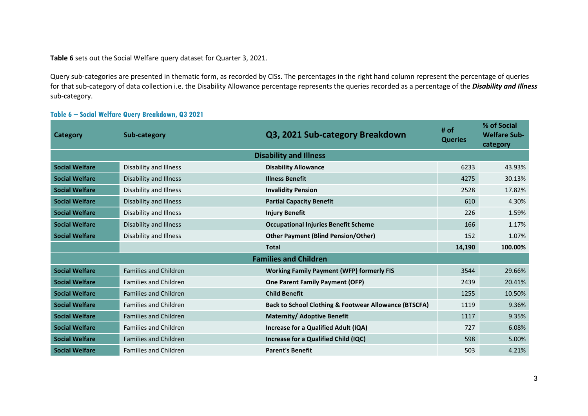**Table 6** sets out the Social Welfare query dataset for Quarter 3, 2021.

Query sub-categories are presented in thematic form, as recorded by CISs. The percentages in the right hand column represent the percentage of queries for that sub-category of data collection i.e. the Disability Allowance percentage represents the queries recorded as a percentage of the *Disability and Illness* sub-category.

#### **Table 6 – Social Welfare Query Breakdown, Q3 2021**

| <b>Category</b>       | Sub-category                  | Q3, 2021 Sub-category Breakdown                                  | # of<br><b>Queries</b> | % of Social<br><b>Welfare Sub-</b><br>category |  |  |  |
|-----------------------|-------------------------------|------------------------------------------------------------------|------------------------|------------------------------------------------|--|--|--|
|                       | <b>Disability and Illness</b> |                                                                  |                        |                                                |  |  |  |
| <b>Social Welfare</b> | Disability and Illness        | <b>Disability Allowance</b>                                      | 6233                   | 43.93%                                         |  |  |  |
| <b>Social Welfare</b> | Disability and Illness        | <b>Illness Benefit</b>                                           | 4275                   | 30.13%                                         |  |  |  |
| <b>Social Welfare</b> | Disability and Illness        | <b>Invalidity Pension</b>                                        | 2528                   | 17.82%                                         |  |  |  |
| <b>Social Welfare</b> | Disability and Illness        | <b>Partial Capacity Benefit</b>                                  | 610                    | 4.30%                                          |  |  |  |
| <b>Social Welfare</b> | Disability and Illness        | <b>Injury Benefit</b>                                            | 226                    | 1.59%                                          |  |  |  |
| <b>Social Welfare</b> | Disability and Illness        | <b>Occupational Injuries Benefit Scheme</b>                      | 166                    | 1.17%                                          |  |  |  |
| <b>Social Welfare</b> | Disability and Illness        | <b>Other Payment (Blind Pension/Other)</b>                       | 152                    | 1.07%                                          |  |  |  |
|                       |                               | <b>Total</b>                                                     | 14,190                 | 100.00%                                        |  |  |  |
|                       |                               | <b>Families and Children</b>                                     |                        |                                                |  |  |  |
| <b>Social Welfare</b> | <b>Families and Children</b>  | <b>Working Family Payment (WFP) formerly FIS</b>                 | 3544                   | 29.66%                                         |  |  |  |
| <b>Social Welfare</b> | <b>Families and Children</b>  | <b>One Parent Family Payment (OFP)</b>                           | 2439                   | 20.41%                                         |  |  |  |
| <b>Social Welfare</b> | <b>Families and Children</b>  | <b>Child Benefit</b>                                             | 1255                   | 10.50%                                         |  |  |  |
| <b>Social Welfare</b> | <b>Families and Children</b>  | <b>Back to School Clothing &amp; Footwear Allowance (BTSCFA)</b> | 1119                   | 9.36%                                          |  |  |  |
| <b>Social Welfare</b> | <b>Families and Children</b>  | <b>Maternity/ Adoptive Benefit</b>                               | 1117                   | 9.35%                                          |  |  |  |
| <b>Social Welfare</b> | <b>Families and Children</b>  | Increase for a Qualified Adult (IQA)                             | 727                    | 6.08%                                          |  |  |  |
| <b>Social Welfare</b> | <b>Families and Children</b>  | Increase for a Qualified Child (IQC)                             | 598                    | 5.00%                                          |  |  |  |
| <b>Social Welfare</b> | <b>Families and Children</b>  | <b>Parent's Benefit</b>                                          | 503                    | 4.21%                                          |  |  |  |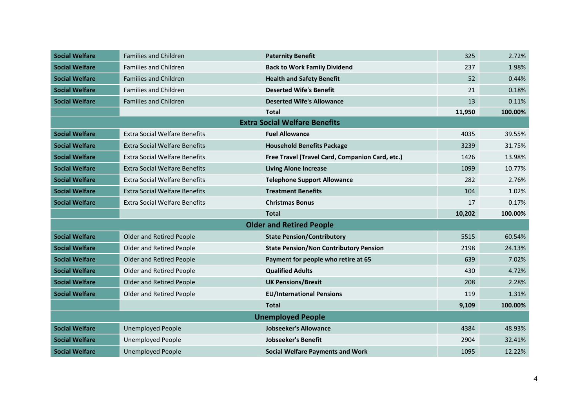| <b>Social Welfare</b>    | <b>Families and Children</b>         | <b>Paternity Benefit</b>                        | 325    | 2.72%   |
|--------------------------|--------------------------------------|-------------------------------------------------|--------|---------|
| <b>Social Welfare</b>    | <b>Families and Children</b>         | <b>Back to Work Family Dividend</b>             | 237    | 1.98%   |
| <b>Social Welfare</b>    | <b>Families and Children</b>         | <b>Health and Safety Benefit</b>                | 52     | 0.44%   |
| <b>Social Welfare</b>    | <b>Families and Children</b>         | <b>Deserted Wife's Benefit</b>                  | 21     | 0.18%   |
| <b>Social Welfare</b>    | Families and Children                | <b>Deserted Wife's Allowance</b>                | 13     | 0.11%   |
|                          |                                      | Total                                           | 11,950 | 100.00% |
|                          |                                      | <b>Extra Social Welfare Benefits</b>            |        |         |
| <b>Social Welfare</b>    | <b>Extra Social Welfare Benefits</b> | <b>Fuel Allowance</b>                           | 4035   | 39.55%  |
| <b>Social Welfare</b>    | <b>Extra Social Welfare Benefits</b> | <b>Household Benefits Package</b>               | 3239   | 31.75%  |
| <b>Social Welfare</b>    | <b>Extra Social Welfare Benefits</b> | Free Travel (Travel Card, Companion Card, etc.) | 1426   | 13.98%  |
| <b>Social Welfare</b>    | <b>Extra Social Welfare Benefits</b> | <b>Living Alone Increase</b>                    | 1099   | 10.77%  |
| <b>Social Welfare</b>    | <b>Extra Social Welfare Benefits</b> | <b>Telephone Support Allowance</b>              | 282    | 2.76%   |
| <b>Social Welfare</b>    | <b>Extra Social Welfare Benefits</b> | <b>Treatment Benefits</b>                       | 104    | 1.02%   |
| <b>Social Welfare</b>    | <b>Extra Social Welfare Benefits</b> | <b>Christmas Bonus</b>                          | 17     | 0.17%   |
|                          |                                      | <b>Total</b>                                    | 10,202 | 100.00% |
|                          |                                      | <b>Older and Retired People</b>                 |        |         |
| <b>Social Welfare</b>    | Older and Retired People             | <b>State Pension/Contributory</b>               | 5515   | 60.54%  |
| <b>Social Welfare</b>    | <b>Older and Retired People</b>      | <b>State Pension/Non Contributory Pension</b>   | 2198   | 24.13%  |
| <b>Social Welfare</b>    | <b>Older and Retired People</b>      | Payment for people who retire at 65             | 639    | 7.02%   |
| <b>Social Welfare</b>    | <b>Older and Retired People</b>      | <b>Qualified Adults</b>                         | 430    | 4.72%   |
| <b>Social Welfare</b>    | <b>Older and Retired People</b>      | <b>UK Pensions/Brexit</b>                       | 208    | 2.28%   |
| <b>Social Welfare</b>    | Older and Retired People             | <b>EU/International Pensions</b>                | 119    | 1.31%   |
|                          |                                      | <b>Total</b>                                    | 9,109  | 100.00% |
| <b>Unemployed People</b> |                                      |                                                 |        |         |
| <b>Social Welfare</b>    | <b>Unemployed People</b>             | <b>Jobseeker's Allowance</b>                    | 4384   | 48.93%  |
| <b>Social Welfare</b>    | <b>Unemployed People</b>             | <b>Jobseeker's Benefit</b>                      | 2904   | 32.41%  |
| <b>Social Welfare</b>    | <b>Unemployed People</b>             | <b>Social Welfare Payments and Work</b>         | 1095   | 12.22%  |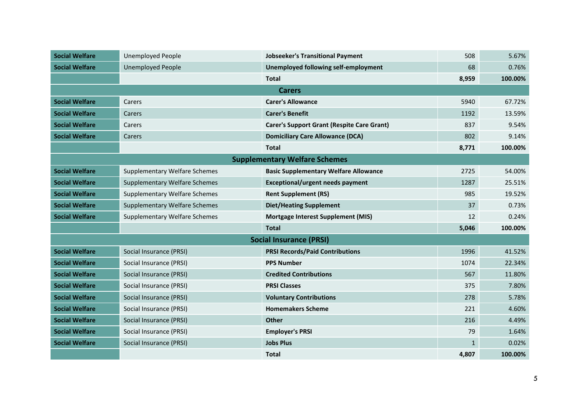| <b>Social Welfare</b> | <b>Unemployed People</b>             | <b>Jobseeker's Transitional Payment</b>           | 508          | 5.67%   |
|-----------------------|--------------------------------------|---------------------------------------------------|--------------|---------|
| <b>Social Welfare</b> | <b>Unemployed People</b>             | Unemployed following self-employment              | 68           | 0.76%   |
|                       |                                      | <b>Total</b>                                      | 8,959        | 100.00% |
|                       |                                      | <b>Carers</b>                                     |              |         |
| <b>Social Welfare</b> | Carers                               | <b>Carer's Allowance</b>                          | 5940         | 67.72%  |
| <b>Social Welfare</b> | Carers                               | <b>Carer's Benefit</b>                            | 1192         | 13.59%  |
| <b>Social Welfare</b> | Carers                               | <b>Carer's Support Grant (Respite Care Grant)</b> | 837          | 9.54%   |
| <b>Social Welfare</b> | Carers                               | <b>Domiciliary Care Allowance (DCA)</b>           | 802          | 9.14%   |
|                       |                                      | <b>Total</b>                                      | 8,771        | 100.00% |
|                       |                                      | <b>Supplementary Welfare Schemes</b>              |              |         |
| <b>Social Welfare</b> | <b>Supplementary Welfare Schemes</b> | <b>Basic Supplementary Welfare Allowance</b>      | 2725         | 54.00%  |
| <b>Social Welfare</b> | <b>Supplementary Welfare Schemes</b> | <b>Exceptional/urgent needs payment</b>           | 1287         | 25.51%  |
| <b>Social Welfare</b> | <b>Supplementary Welfare Schemes</b> | <b>Rent Supplement (RS)</b>                       | 985          | 19.52%  |
| <b>Social Welfare</b> | <b>Supplementary Welfare Schemes</b> | <b>Diet/Heating Supplement</b>                    | 37           | 0.73%   |
| <b>Social Welfare</b> | <b>Supplementary Welfare Schemes</b> | <b>Mortgage Interest Supplement (MIS)</b>         | 12           | 0.24%   |
|                       |                                      | <b>Total</b>                                      | 5,046        | 100.00% |
|                       |                                      | <b>Social Insurance (PRSI)</b>                    |              |         |
| <b>Social Welfare</b> | Social Insurance (PRSI)              | <b>PRSI Records/Paid Contributions</b>            | 1996         | 41.52%  |
| <b>Social Welfare</b> | Social Insurance (PRSI)              | <b>PPS Number</b>                                 | 1074         | 22.34%  |
| <b>Social Welfare</b> | Social Insurance (PRSI)              | <b>Credited Contributions</b>                     | 567          | 11.80%  |
| <b>Social Welfare</b> | Social Insurance (PRSI)              | <b>PRSI Classes</b>                               | 375          | 7.80%   |
| <b>Social Welfare</b> | Social Insurance (PRSI)              | <b>Voluntary Contributions</b>                    | 278          | 5.78%   |
| <b>Social Welfare</b> | Social Insurance (PRSI)              | <b>Homemakers Scheme</b>                          | 221          | 4.60%   |
| <b>Social Welfare</b> | Social Insurance (PRSI)              | <b>Other</b>                                      | 216          | 4.49%   |
| <b>Social Welfare</b> | Social Insurance (PRSI)              | <b>Employer's PRSI</b>                            | 79           | 1.64%   |
| <b>Social Welfare</b> | Social Insurance (PRSI)              | <b>Jobs Plus</b>                                  | $\mathbf{1}$ | 0.02%   |
|                       |                                      | Total                                             | 4,807        | 100.00% |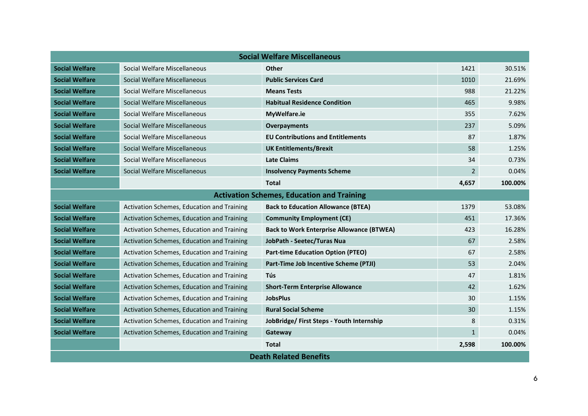| <b>Social Welfare Miscellaneous</b> |                                            |                                                   |                |         |
|-------------------------------------|--------------------------------------------|---------------------------------------------------|----------------|---------|
| <b>Social Welfare</b>               | Social Welfare Miscellaneous               | <b>Other</b>                                      | 1421           | 30.51%  |
| <b>Social Welfare</b>               | Social Welfare Miscellaneous               | <b>Public Services Card</b>                       | 1010           | 21.69%  |
| <b>Social Welfare</b>               | Social Welfare Miscellaneous               | <b>Means Tests</b>                                | 988            | 21.22%  |
| <b>Social Welfare</b>               | Social Welfare Miscellaneous               | <b>Habitual Residence Condition</b>               | 465            | 9.98%   |
| <b>Social Welfare</b>               | Social Welfare Miscellaneous               | MyWelfare.ie                                      | 355            | 7.62%   |
| <b>Social Welfare</b>               | Social Welfare Miscellaneous               | <b>Overpayments</b>                               | 237            | 5.09%   |
| <b>Social Welfare</b>               | Social Welfare Miscellaneous               | <b>EU Contributions and Entitlements</b>          | 87             | 1.87%   |
| <b>Social Welfare</b>               | Social Welfare Miscellaneous               | <b>UK Entitlements/Brexit</b>                     | 58             | 1.25%   |
| <b>Social Welfare</b>               | Social Welfare Miscellaneous               | <b>Late Claims</b>                                | 34             | 0.73%   |
| <b>Social Welfare</b>               | Social Welfare Miscellaneous               | <b>Insolvency Payments Scheme</b>                 | $\overline{2}$ | 0.04%   |
|                                     |                                            | <b>Total</b>                                      | 4,657          | 100.00% |
|                                     |                                            | <b>Activation Schemes, Education and Training</b> |                |         |
| <b>Social Welfare</b>               | Activation Schemes, Education and Training | <b>Back to Education Allowance (BTEA)</b>         | 1379           | 53.08%  |
| <b>Social Welfare</b>               | Activation Schemes, Education and Training | <b>Community Employment (CE)</b>                  | 451            | 17.36%  |
| <b>Social Welfare</b>               | Activation Schemes, Education and Training | <b>Back to Work Enterprise Allowance (BTWEA)</b>  | 423            | 16.28%  |
| <b>Social Welfare</b>               | Activation Schemes, Education and Training | JobPath - Seetec/Turas Nua                        | 67             | 2.58%   |
| <b>Social Welfare</b>               | Activation Schemes, Education and Training | <b>Part-time Education Option (PTEO)</b>          | 67             | 2.58%   |
| <b>Social Welfare</b>               | Activation Schemes, Education and Training | Part-Time Job Incentive Scheme (PTJI)             | 53             | 2.04%   |
| <b>Social Welfare</b>               | Activation Schemes, Education and Training | <b>Tús</b>                                        | 47             | 1.81%   |
| <b>Social Welfare</b>               | Activation Schemes, Education and Training | <b>Short-Term Enterprise Allowance</b>            | 42             | 1.62%   |
| <b>Social Welfare</b>               | Activation Schemes, Education and Training | <b>JobsPlus</b>                                   | 30             | 1.15%   |
| <b>Social Welfare</b>               | Activation Schemes, Education and Training | <b>Rural Social Scheme</b>                        | 30             | 1.15%   |
| <b>Social Welfare</b>               | Activation Schemes, Education and Training | JobBridge/ First Steps - Youth Internship         | 8              | 0.31%   |
| <b>Social Welfare</b>               | Activation Schemes, Education and Training | Gateway                                           | $\mathbf{1}$   | 0.04%   |
|                                     |                                            | <b>Total</b>                                      | 2,598          | 100.00% |
| <b>Death Related Benefits</b>       |                                            |                                                   |                |         |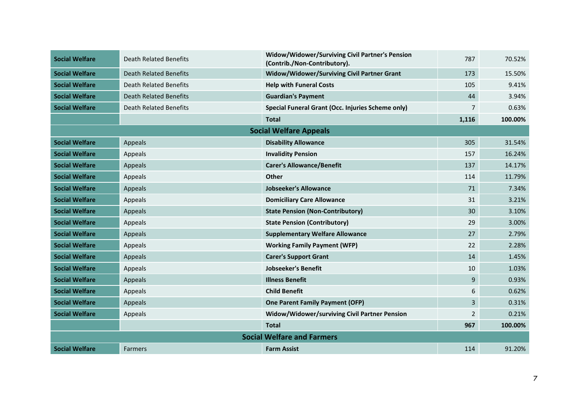| <b>Social Welfare</b> | <b>Death Related Benefits</b>     | Widow/Widower/Surviving Civil Partner's Pension<br>(Contrib./Non-Contributory). | 787            | 70.52%  |  |
|-----------------------|-----------------------------------|---------------------------------------------------------------------------------|----------------|---------|--|
| <b>Social Welfare</b> | <b>Death Related Benefits</b>     | Widow/Widower/Surviving Civil Partner Grant                                     | 173            | 15.50%  |  |
| <b>Social Welfare</b> | <b>Death Related Benefits</b>     | <b>Help with Funeral Costs</b>                                                  | 105            | 9.41%   |  |
| <b>Social Welfare</b> | <b>Death Related Benefits</b>     | <b>Guardian's Payment</b>                                                       | 44             | 3.94%   |  |
| <b>Social Welfare</b> | <b>Death Related Benefits</b>     | Special Funeral Grant (Occ. Injuries Scheme only)                               | 7              | 0.63%   |  |
|                       |                                   | <b>Total</b>                                                                    | 1,116          | 100.00% |  |
|                       |                                   | <b>Social Welfare Appeals</b>                                                   |                |         |  |
| <b>Social Welfare</b> | Appeals                           | <b>Disability Allowance</b>                                                     | 305            | 31.54%  |  |
| <b>Social Welfare</b> | Appeals                           | <b>Invalidity Pension</b>                                                       | 157            | 16.24%  |  |
| <b>Social Welfare</b> | Appeals                           | <b>Carer's Allowance/Benefit</b>                                                | 137            | 14.17%  |  |
| <b>Social Welfare</b> | Appeals                           | <b>Other</b>                                                                    | 114            | 11.79%  |  |
| <b>Social Welfare</b> | Appeals                           | <b>Jobseeker's Allowance</b>                                                    | 71             | 7.34%   |  |
| <b>Social Welfare</b> | Appeals                           | <b>Domiciliary Care Allowance</b>                                               | 31             | 3.21%   |  |
| <b>Social Welfare</b> | Appeals                           | <b>State Pension (Non-Contributory)</b>                                         | 30             | 3.10%   |  |
| <b>Social Welfare</b> | Appeals                           | <b>State Pension (Contributory)</b>                                             | 29             | 3.00%   |  |
| <b>Social Welfare</b> | Appeals                           | <b>Supplementary Welfare Allowance</b>                                          | 27             | 2.79%   |  |
| <b>Social Welfare</b> | Appeals                           | <b>Working Family Payment (WFP)</b>                                             | 22             | 2.28%   |  |
| <b>Social Welfare</b> | Appeals                           | <b>Carer's Support Grant</b>                                                    | 14             | 1.45%   |  |
| <b>Social Welfare</b> | Appeals                           | <b>Jobseeker's Benefit</b>                                                      | 10             | 1.03%   |  |
| <b>Social Welfare</b> | Appeals                           | <b>Illness Benefit</b>                                                          | 9              | 0.93%   |  |
| <b>Social Welfare</b> | Appeals                           | <b>Child Benefit</b>                                                            | 6              | 0.62%   |  |
| <b>Social Welfare</b> | Appeals                           | <b>One Parent Family Payment (OFP)</b>                                          | 3              | 0.31%   |  |
| <b>Social Welfare</b> | Appeals                           | Widow/Widower/surviving Civil Partner Pension                                   | $\overline{2}$ | 0.21%   |  |
|                       |                                   | <b>Total</b>                                                                    | 967            | 100.00% |  |
|                       | <b>Social Welfare and Farmers</b> |                                                                                 |                |         |  |
| <b>Social Welfare</b> | <b>Farmers</b>                    | <b>Farm Assist</b>                                                              | 114            | 91.20%  |  |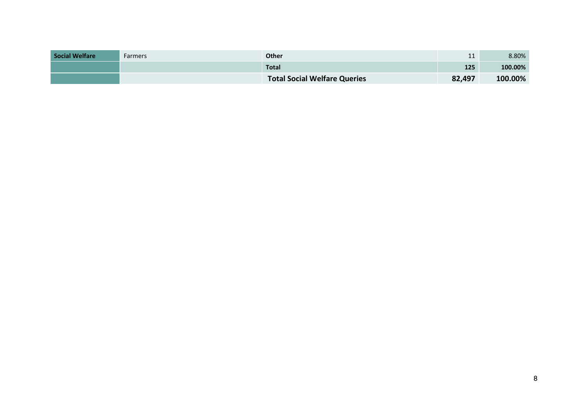| <b>Social Welfare</b> | Farmers | <b>Other</b>                        | 11     | 8.80%   |
|-----------------------|---------|-------------------------------------|--------|---------|
|                       |         | <b>Total</b>                        | 125    | 100.00% |
|                       |         | <b>Total Social Welfare Queries</b> | 82,497 | 100.00% |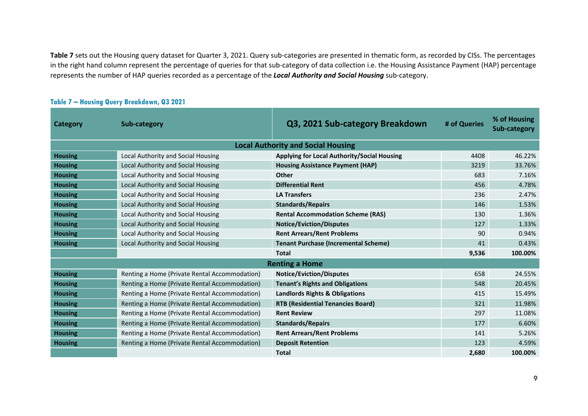**Table 7** sets out the Housing query dataset for Quarter 3, 2021. Query sub-categories are presented in thematic form, as recorded by CISs. The percentages in the right hand column represent the percentage of queries for that sub-category of data collection i.e. the Housing Assistance Payment (HAP) percentage represents the number of HAP queries recorded as a percentage of the *Local Authority and Social Housing* sub-category.

| Category       | Sub-category                                  | Q3, 2021 Sub-category Breakdown             | # of Queries | % of Housing<br><b>Sub-category</b> |
|----------------|-----------------------------------------------|---------------------------------------------|--------------|-------------------------------------|
|                |                                               | <b>Local Authority and Social Housing</b>   |              |                                     |
| <b>Housing</b> | Local Authority and Social Housing            | Applying for Local Authority/Social Housing | 4408         | 46.22%                              |
| <b>Housing</b> | Local Authority and Social Housing            | <b>Housing Assistance Payment (HAP)</b>     | 3219         | 33.76%                              |
| <b>Housing</b> | Local Authority and Social Housing            | <b>Other</b>                                | 683          | 7.16%                               |
| <b>Housing</b> | Local Authority and Social Housing            | <b>Differential Rent</b>                    | 456          | 4.78%                               |
| <b>Housing</b> | Local Authority and Social Housing            | <b>LA Transfers</b>                         | 236          | 2.47%                               |
| <b>Housing</b> | Local Authority and Social Housing            | <b>Standards/Repairs</b>                    | 146          | 1.53%                               |
| <b>Housing</b> | Local Authority and Social Housing            | <b>Rental Accommodation Scheme (RAS)</b>    | 130          | 1.36%                               |
| <b>Housing</b> | Local Authority and Social Housing            | <b>Notice/Eviction/Disputes</b>             | 127          | 1.33%                               |
| <b>Housing</b> | Local Authority and Social Housing            | <b>Rent Arrears/Rent Problems</b>           | 90           | 0.94%                               |
| <b>Housing</b> | Local Authority and Social Housing            | <b>Tenant Purchase (Incremental Scheme)</b> | 41           | 0.43%                               |
|                |                                               | <b>Total</b>                                | 9,536        | 100.00%                             |
|                |                                               | <b>Renting a Home</b>                       |              |                                     |
| <b>Housing</b> | Renting a Home (Private Rental Accommodation) | <b>Notice/Eviction/Disputes</b>             | 658          | 24.55%                              |
| <b>Housing</b> | Renting a Home (Private Rental Accommodation) | <b>Tenant's Rights and Obligations</b>      | 548          | 20.45%                              |
| <b>Housing</b> | Renting a Home (Private Rental Accommodation) | Landlords Rights & Obligations              | 415          | 15.49%                              |
| <b>Housing</b> | Renting a Home (Private Rental Accommodation) | <b>RTB (Residential Tenancies Board)</b>    | 321          | 11.98%                              |
| <b>Housing</b> | Renting a Home (Private Rental Accommodation) | <b>Rent Review</b>                          | 297          | 11.08%                              |
| <b>Housing</b> | Renting a Home (Private Rental Accommodation) | <b>Standards/Repairs</b>                    | 177          | 6.60%                               |
| <b>Housing</b> | Renting a Home (Private Rental Accommodation) | <b>Rent Arrears/Rent Problems</b>           | 141          | 5.26%                               |
| <b>Housing</b> | Renting a Home (Private Rental Accommodation) | <b>Deposit Retention</b>                    | 123          | 4.59%                               |
|                |                                               | <b>Total</b>                                | 2,680        | 100.00%                             |

#### **Table 7 – Housing Query Breakdown, Q3 2021**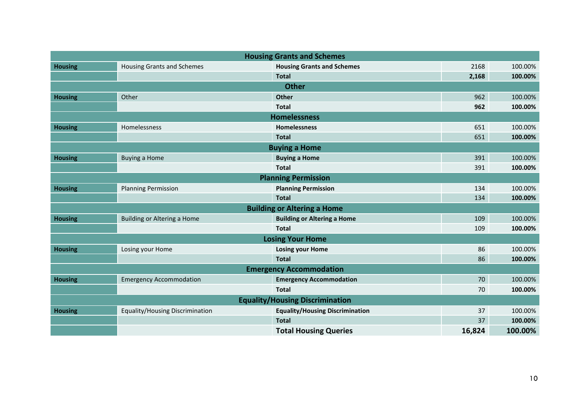| <b>Housing Grants and Schemes</b>      |                                    |                                        |        |         |  |  |  |
|----------------------------------------|------------------------------------|----------------------------------------|--------|---------|--|--|--|
| <b>Housing</b>                         | <b>Housing Grants and Schemes</b>  | <b>Housing Grants and Schemes</b>      | 2168   | 100.00% |  |  |  |
|                                        |                                    | <b>Total</b>                           | 2,168  | 100.00% |  |  |  |
|                                        |                                    | <b>Other</b>                           |        |         |  |  |  |
| <b>Housing</b>                         | Other                              | <b>Other</b>                           | 962    | 100.00% |  |  |  |
|                                        |                                    | <b>Total</b>                           | 962    | 100.00% |  |  |  |
| <b>Homelessness</b>                    |                                    |                                        |        |         |  |  |  |
| <b>Housing</b>                         | Homelessness                       | <b>Homelessness</b>                    | 651    | 100.00% |  |  |  |
|                                        |                                    | <b>Total</b>                           | 651    | 100.00% |  |  |  |
| <b>Buying a Home</b>                   |                                    |                                        |        |         |  |  |  |
| <b>Housing</b>                         | <b>Buying a Home</b>               | <b>Buying a Home</b>                   | 391    | 100.00% |  |  |  |
|                                        |                                    | <b>Total</b>                           | 391    | 100.00% |  |  |  |
|                                        |                                    | <b>Planning Permission</b>             |        |         |  |  |  |
| <b>Housing</b>                         | <b>Planning Permission</b>         | <b>Planning Permission</b>             | 134    | 100.00% |  |  |  |
|                                        |                                    | <b>Total</b>                           | 134    | 100.00% |  |  |  |
|                                        |                                    | <b>Building or Altering a Home</b>     |        |         |  |  |  |
| <b>Housing</b>                         | <b>Building or Altering a Home</b> | <b>Building or Altering a Home</b>     | 109    | 100.00% |  |  |  |
|                                        |                                    | <b>Total</b>                           | 109    | 100.00% |  |  |  |
| <b>Losing Your Home</b>                |                                    |                                        |        |         |  |  |  |
| <b>Housing</b>                         | Losing your Home                   | <b>Losing your Home</b>                | 86     | 100.00% |  |  |  |
|                                        |                                    | <b>Total</b>                           | 86     | 100.00% |  |  |  |
| <b>Emergency Accommodation</b>         |                                    |                                        |        |         |  |  |  |
| <b>Housing</b>                         | <b>Emergency Accommodation</b>     | <b>Emergency Accommodation</b>         | 70     | 100.00% |  |  |  |
|                                        |                                    | <b>Total</b>                           | 70     | 100.00% |  |  |  |
| <b>Equality/Housing Discrimination</b> |                                    |                                        |        |         |  |  |  |
| <b>Housing</b>                         | Equality/Housing Discrimination    | <b>Equality/Housing Discrimination</b> | 37     | 100.00% |  |  |  |
|                                        |                                    | <b>Total</b>                           | 37     | 100.00% |  |  |  |
|                                        |                                    | <b>Total Housing Queries</b>           | 16,824 | 100.00% |  |  |  |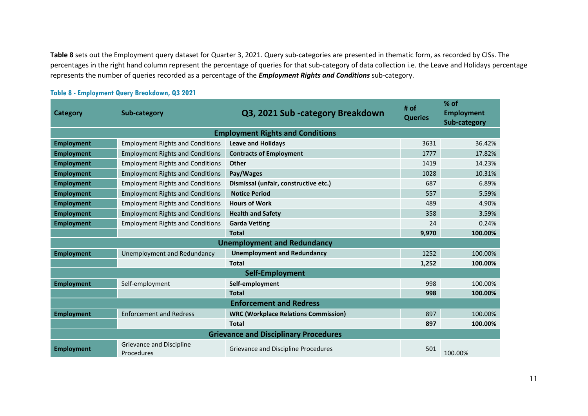**Table 8** sets out the Employment query dataset for Quarter 3, 2021. Query sub-categories are presented in thematic form, as recorded by CISs. The percentages in the right hand column represent the percentage of queries for that sub-category of data collection i.e. the Leave and Holidays percentage represents the number of queries recorded as a percentage of the *Employment Rights and Conditions* sub-category.

| <b>Category</b>                              | Sub-category                            | Q3, 2021 Sub-category Breakdown             | # of<br><b>Queries</b> | % of<br><b>Employment</b><br>Sub-category |  |  |
|----------------------------------------------|-----------------------------------------|---------------------------------------------|------------------------|-------------------------------------------|--|--|
|                                              |                                         | <b>Employment Rights and Conditions</b>     |                        |                                           |  |  |
| <b>Employment</b>                            | <b>Employment Rights and Conditions</b> | <b>Leave and Holidays</b>                   | 3631                   | 36.42%                                    |  |  |
| <b>Employment</b>                            | <b>Employment Rights and Conditions</b> | <b>Contracts of Employment</b>              | 1777                   | 17.82%                                    |  |  |
| <b>Employment</b>                            | <b>Employment Rights and Conditions</b> | <b>Other</b>                                | 1419                   | 14.23%                                    |  |  |
| <b>Employment</b>                            | <b>Employment Rights and Conditions</b> | Pay/Wages                                   | 1028                   | 10.31%                                    |  |  |
| <b>Employment</b>                            | <b>Employment Rights and Conditions</b> | Dismissal (unfair, constructive etc.)       | 687                    | 6.89%                                     |  |  |
| <b>Employment</b>                            | <b>Employment Rights and Conditions</b> | <b>Notice Period</b>                        | 557                    | 5.59%                                     |  |  |
| <b>Employment</b>                            | <b>Employment Rights and Conditions</b> | <b>Hours of Work</b>                        | 489                    | 4.90%                                     |  |  |
| <b>Employment</b>                            | <b>Employment Rights and Conditions</b> | <b>Health and Safety</b>                    | 358                    | 3.59%                                     |  |  |
| <b>Employment</b>                            | <b>Employment Rights and Conditions</b> | <b>Garda Vetting</b>                        | 24                     | 0.24%                                     |  |  |
|                                              |                                         | <b>Total</b>                                | 9,970                  | 100.00%                                   |  |  |
| <b>Unemployment and Redundancy</b>           |                                         |                                             |                        |                                           |  |  |
| <b>Employment</b>                            | Unemployment and Redundancy             | <b>Unemployment and Redundancy</b>          | 1252                   | 100.00%                                   |  |  |
|                                              |                                         | <b>Total</b>                                | 1,252                  | 100.00%                                   |  |  |
| Self-Employment                              |                                         |                                             |                        |                                           |  |  |
| <b>Employment</b>                            | Self-employment                         | Self-employment                             | 998                    | 100.00%                                   |  |  |
|                                              |                                         | <b>Total</b>                                | 998                    | 100.00%                                   |  |  |
| <b>Enforcement and Redress</b>               |                                         |                                             |                        |                                           |  |  |
| <b>Employment</b>                            | <b>Enforcement and Redress</b>          | <b>WRC (Workplace Relations Commission)</b> | 897                    | 100.00%                                   |  |  |
|                                              |                                         | <b>Total</b>                                | 897                    | 100.00%                                   |  |  |
| <b>Grievance and Disciplinary Procedures</b> |                                         |                                             |                        |                                           |  |  |
| <b>Employment</b>                            | Grievance and Discipline<br>Procedures  | Grievance and Discipline Procedures         | 501                    | 100.00%                                   |  |  |

#### **Table 8 - Employment Query Breakdown, Q3 2021**